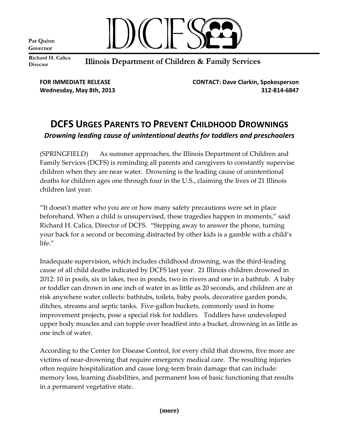Pat Quinn Governor



Richard H. Calica **Director** 

Illinois Department of Children & Family Services

**FOR IMMEDIATE RELEASE CONTACT: Dave Clarkin, Spokesperson Wednesday, May 8th, 2013 312-814-6847**

## **DCFS URGES PARENTS TO PREVENT CHILDHOOD DROWNINGS** *Drowning leading cause of unintentional deaths for toddlers and preschoolers*

(SPRINGFIELD) As summer approaches, the Illinois Department of Children and Family Services (DCFS) is reminding all parents and caregivers to constantly supervise children when they are near water. Drowning is the leading cause of unintentional deaths for children ages one through four in the U.S., claiming the lives of 21 Illinois children last year.

"It doesn't matter who you are or how many safety precautions were set in place beforehand. When a child is unsupervised, these tragedies happen in moments," said Richard H. Calica, Director of DCFS. "Stepping away to answer the phone, turning your back for a second or becoming distracted by other kids is a gamble with a child's life."

Inadequate supervision, which includes childhood drowning, was the third-leading cause of all child deaths indicated by DCFS last year. 21 Illinois children drowned in 2012: 10 in pools, six in lakes, two in ponds, two in rivers and one in a bathtub. A baby or toddler can drown in one inch of water in as little as 20 seconds, and children are at risk anywhere water collects: bathtubs, toilets, baby pools, decorative garden ponds, ditches, streams and septic tanks. Five-gallon buckets, commonly used in home improvement projects, pose a special risk for toddlers. Toddlers have undeveloped upper body muscles and can topple over headfirst into a bucket, drowning in as little as one inch of water.

According to the Center for Disease Control, for every child that drowns, five more are victims of near-drowning that require emergency medical care. The resulting injuries often require hospitalization and cause long-term brain damage that can include: memory loss, learning disabilities, and permanent loss of basic functioning that results in a permanent vegetative state.